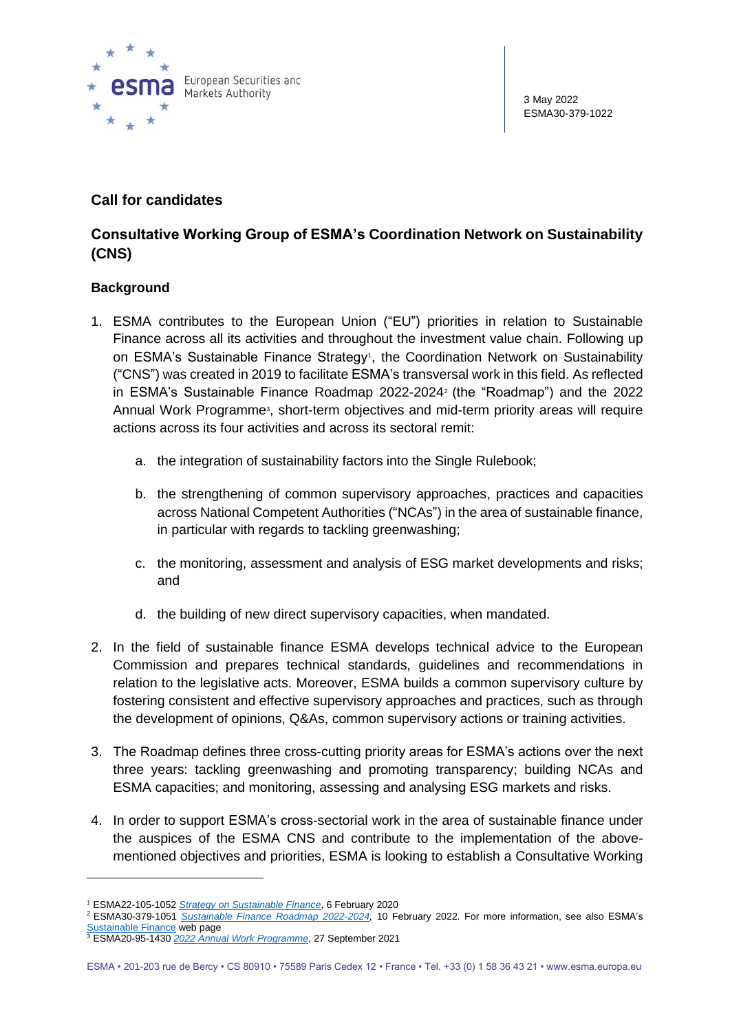

# **Call for candidates**

# **Consultative Working Group of ESMA's Coordination Network on Sustainability (CNS)**

# **Background**

- 1. ESMA contributes to the European Union ("EU") priorities in relation to Sustainable Finance across all its activities and throughout the investment value chain. Following up on ESMA's Sustainable Finance Strategy<sup>1</sup>, the Coordination Network on Sustainability ("CNS") was created in 2019 to facilitate ESMA's transversal work in this field. As reflected in ESMA's Sustainable Finance Roadmap 2022-2024<sup>2</sup> (the "Roadmap") and the 2022 Annual Work Programme<sup>3</sup>, short-term objectives and mid-term priority areas will require actions across its four activities and across its sectoral remit:
	- a. the integration of sustainability factors into the Single Rulebook;
	- b. the strengthening of common supervisory approaches, practices and capacities across National Competent Authorities ("NCAs") in the area of sustainable finance, in particular with regards to tackling greenwashing:
	- c. the monitoring, assessment and analysis of ESG market developments and risks; and
	- d. the building of new direct supervisory capacities, when mandated.
- 2. In the field of sustainable finance ESMA develops technical advice to the European Commission and prepares technical standards, guidelines and recommendations in relation to the legislative acts. Moreover, ESMA builds a common supervisory culture by fostering consistent and effective supervisory approaches and practices, such as through the development of opinions, Q&As, common supervisory actions or training activities.
- 3. The Roadmap defines three cross-cutting priority areas for ESMA's actions over the next three years: tackling greenwashing and promoting transparency; building NCAs and ESMA capacities; and monitoring, assessing and analysing ESG markets and risks.
- 4. In order to support ESMA's cross-sectorial work in the area of sustainable finance under the auspices of the ESMA CNS and contribute to the implementation of the abovementioned objectives and priorities, ESMA is looking to establish a Consultative Working

<sup>1</sup> ESMA22-105-1052 *[Strategy on Sustainable Finance](https://www.esma.europa.eu/sites/default/files/library/esma22-105-1052_sustainable_finance_strategy.pdf)*, 6 February 2020

<sup>2</sup> ESMA30-379-1051 *[Sustainable Finance Roadmap 2022-2024,](https://www.esma.europa.eu/sites/default/files/library/esma30-379-1051_sustainable_finance_roadmap.pdf)* 10 February 2022. For more information, see also ESMA's [Sustainable Finance](https://www.esma.europa.eu/policy-activities/sustainable-finance) web page

<sup>3</sup> ESMA20-95-1430 *[2022 Annual Work Programme](https://www.esma.europa.eu/sites/default/files/library/esma20-95-1430_2022_annual_work_programme.pdf)*, 27 September 2021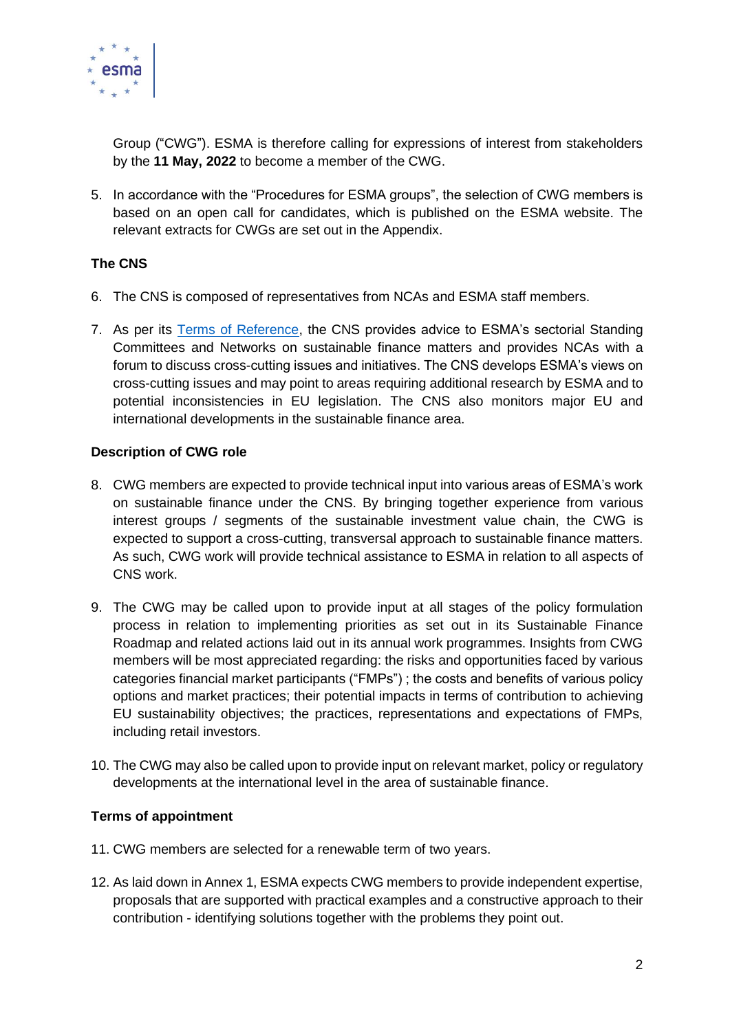

Group ("CWG"). ESMA is therefore calling for expressions of interest from stakeholders by the **11 May, 2022** to become a member of the CWG.

5. In accordance with the "Procedures for ESMA groups", the selection of CWG members is based on an open call for candidates, which is published on the ESMA website. The relevant extracts for CWGs are set out in the Appendix.

# **The CNS**

- 6. The CNS is composed of representatives from NCAs and ESMA staff members.
- 7. As per its [Terms of Reference,](https://www.esma.europa.eu/sites/default/files/library/esma30-379-602_cns_2021_terms_of_reference.pdf) the CNS provides advice to ESMA's sectorial Standing Committees and Networks on sustainable finance matters and provides NCAs with a forum to discuss cross-cutting issues and initiatives. The CNS develops ESMA's views on cross-cutting issues and may point to areas requiring additional research by ESMA and to potential inconsistencies in EU legislation. The CNS also monitors major EU and international developments in the sustainable finance area.

# **Description of CWG role**

- 8. CWG members are expected to provide technical input into various areas of ESMA's work on sustainable finance under the CNS. By bringing together experience from various interest groups / segments of the sustainable investment value chain, the CWG is expected to support a cross-cutting, transversal approach to sustainable finance matters. As such, CWG work will provide technical assistance to ESMA in relation to all aspects of CNS work.
- 9. The CWG may be called upon to provide input at all stages of the policy formulation process in relation to implementing priorities as set out in its Sustainable Finance Roadmap and related actions laid out in its annual work programmes. Insights from CWG members will be most appreciated regarding: the risks and opportunities faced by various categories financial market participants ("FMPs") ; the costs and benefits of various policy options and market practices; their potential impacts in terms of contribution to achieving EU sustainability objectives; the practices, representations and expectations of FMPs, including retail investors.
- 10. The CWG may also be called upon to provide input on relevant market, policy or regulatory developments at the international level in the area of sustainable finance.

### **Terms of appointment**

- 11. CWG members are selected for a renewable term of two years.
- 12. As laid down in Annex 1, ESMA expects CWG members to provide independent expertise, proposals that are supported with practical examples and a constructive approach to their contribution - identifying solutions together with the problems they point out.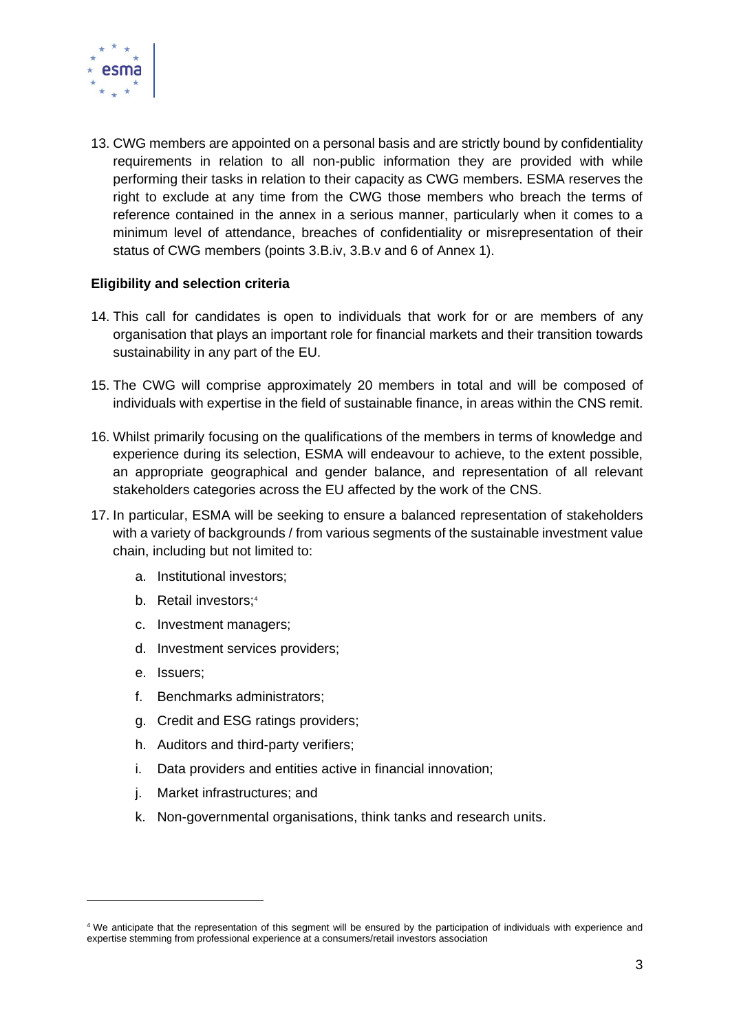

13. CWG members are appointed on a personal basis and are strictly bound by confidentiality requirements in relation to all non-public information they are provided with while performing their tasks in relation to their capacity as CWG members. ESMA reserves the right to exclude at any time from the CWG those members who breach the terms of reference contained in the annex in a serious manner, particularly when it comes to a minimum level of attendance, breaches of confidentiality or misrepresentation of their status of CWG members (points 3.B.iv, 3.B.v and 6 of Annex 1).

## **Eligibility and selection criteria**

- 14. This call for candidates is open to individuals that work for or are members of any organisation that plays an important role for financial markets and their transition towards sustainability in any part of the EU.
- 15. The CWG will comprise approximately 20 members in total and will be composed of individuals with expertise in the field of sustainable finance, in areas within the CNS remit.
- 16. Whilst primarily focusing on the qualifications of the members in terms of knowledge and experience during its selection, ESMA will endeavour to achieve, to the extent possible, an appropriate geographical and gender balance, and representation of all relevant stakeholders categories across the EU affected by the work of the CNS.
- 17. In particular, ESMA will be seeking to ensure a balanced representation of stakeholders with a variety of backgrounds / from various segments of the sustainable investment value chain, including but not limited to:
	- a. Institutional investors;
	- b. Retail investors;<sup>4</sup>
	- c. Investment managers;
	- d. Investment services providers;
	- e. Issuers;
	- f. Benchmarks administrators;
	- g. Credit and ESG ratings providers;
	- h. Auditors and third-party verifiers;
	- i. Data providers and entities active in financial innovation;
	- j. Market infrastructures; and
	- k. Non-governmental organisations, think tanks and research units.

<sup>4</sup> We anticipate that the representation of this segment will be ensured by the participation of individuals with experience and expertise stemming from professional experience at a consumers/retail investors association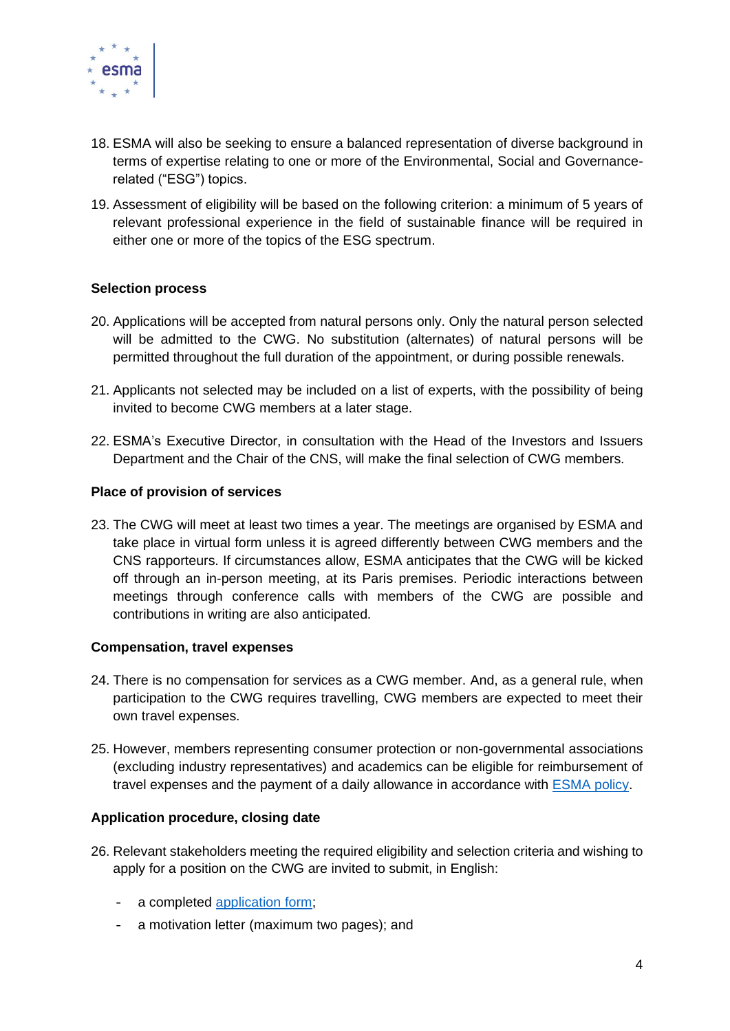

- 18. ESMA will also be seeking to ensure a balanced representation of diverse background in terms of expertise relating to one or more of the Environmental, Social and Governancerelated ("ESG") topics.
- 19. Assessment of eligibility will be based on the following criterion: a minimum of 5 years of relevant professional experience in the field of sustainable finance will be required in either one or more of the topics of the ESG spectrum.

### **Selection process**

- 20. Applications will be accepted from natural persons only. Only the natural person selected will be admitted to the CWG. No substitution (alternates) of natural persons will be permitted throughout the full duration of the appointment, or during possible renewals.
- 21. Applicants not selected may be included on a list of experts, with the possibility of being invited to become CWG members at a later stage.
- 22. ESMA's Executive Director, in consultation with the Head of the Investors and Issuers Department and the Chair of the CNS, will make the final selection of CWG members.

## **Place of provision of services**

23. The CWG will meet at least two times a year. The meetings are organised by ESMA and take place in virtual form unless it is agreed differently between CWG members and the CNS rapporteurs. If circumstances allow, ESMA anticipates that the CWG will be kicked off through an in-person meeting, at its Paris premises. Periodic interactions between meetings through conference calls with members of the CWG are possible and contributions in writing are also anticipated.

### **Compensation, travel expenses**

- 24. There is no compensation for services as a CWG member. And, as a general rule, when participation to the CWG requires travelling, CWG members are expected to meet their own travel expenses.
- 25. However, members representing consumer protection or non-governmental associations (excluding industry representatives) and academics can be eligible for reimbursement of travel expenses and the payment of a daily allowance in accordance with [ESMA policy.](https://www.esma.europa.eu/sites/default/files/library/esma63-46-710_policy_on_the_reimbursement_for_external_persons.pdf)

### **Application procedure, closing date**

- 26. Relevant stakeholders meeting the required eligibility and selection criteria and wishing to apply for a position on the CWG are invited to submit, in English:
	- a completed [application form;](https://www.esma.europa.eu/sites/default/files/esma30-379-1040_application_form_call_for_candidates_cwg_cns.docx)
	- a motivation letter (maximum two pages); and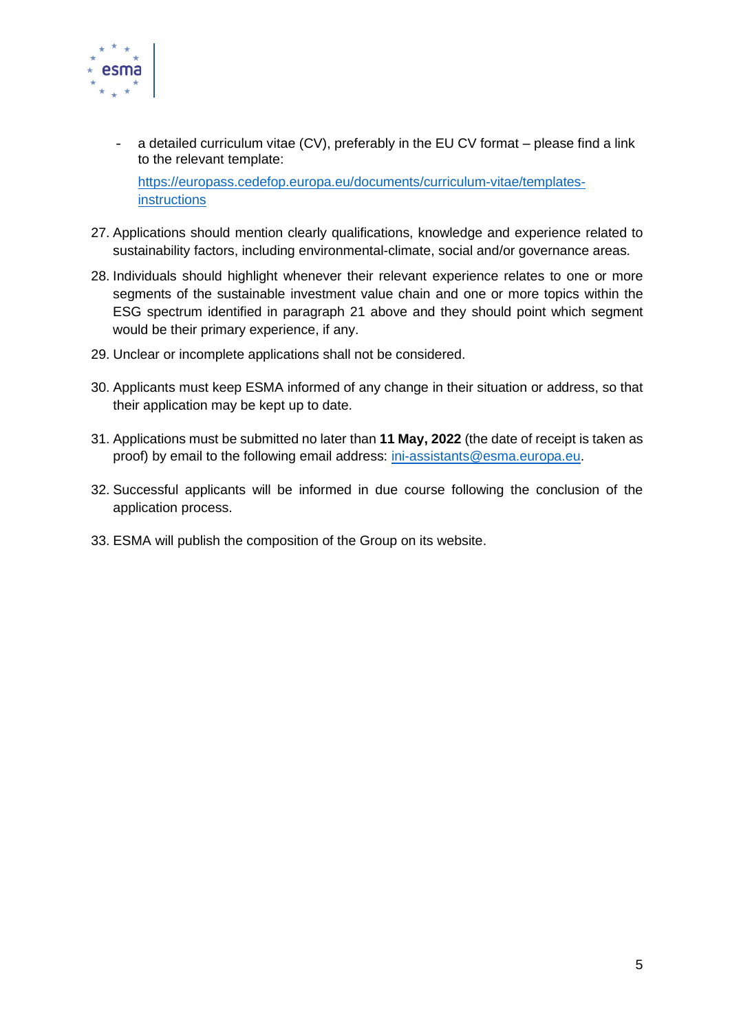

a detailed curriculum vitae  $(CV)$ , preferably in the EU CV format – please find a link to the relevant template:

[https://europass.cedefop.europa.eu/documents/curriculum-vitae/templates](https://europass.cedefop.europa.eu/documents/curriculum-vitae/templates-instructions)**[instructions](https://europass.cedefop.europa.eu/documents/curriculum-vitae/templates-instructions)** 

- 27. Applications should mention clearly qualifications, knowledge and experience related to sustainability factors, including environmental-climate, social and/or governance areas.
- 28. Individuals should highlight whenever their relevant experience relates to one or more segments of the sustainable investment value chain and one or more topics within the ESG spectrum identified in paragraph 21 above and they should point which segment would be their primary experience, if any.
- 29. Unclear or incomplete applications shall not be considered.
- 30. Applicants must keep ESMA informed of any change in their situation or address, so that their application may be kept up to date.
- 31. Applications must be submitted no later than **11 May, 2022** (the date of receipt is taken as proof) by email to the following email address: [ini-assistants@esma.europa.eu.](mailto:mailtoini-assistants@esma.europa.eu)
- 32. Successful applicants will be informed in due course following the conclusion of the application process.
- 33. ESMA will publish the composition of the Group on its website.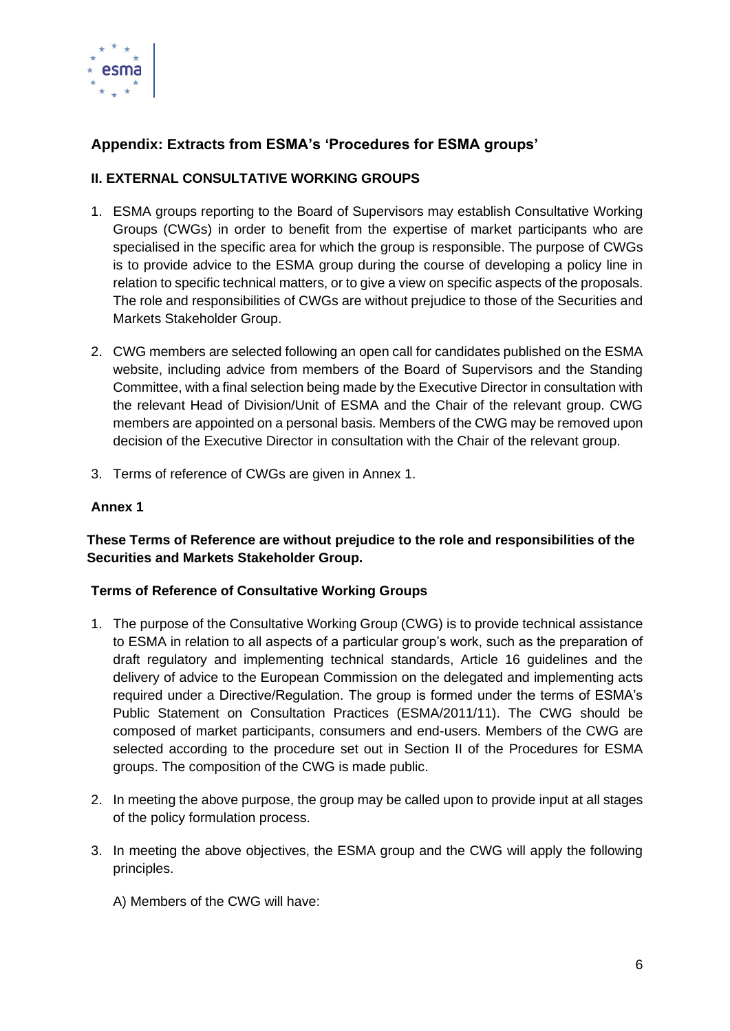

# **Appendix: Extracts from ESMA's 'Procedures for ESMA groups'**

# **II. EXTERNAL CONSULTATIVE WORKING GROUPS**

- 1. ESMA groups reporting to the Board of Supervisors may establish Consultative Working Groups (CWGs) in order to benefit from the expertise of market participants who are specialised in the specific area for which the group is responsible. The purpose of CWGs is to provide advice to the ESMA group during the course of developing a policy line in relation to specific technical matters, or to give a view on specific aspects of the proposals. The role and responsibilities of CWGs are without prejudice to those of the Securities and Markets Stakeholder Group.
- 2. CWG members are selected following an open call for candidates published on the ESMA website, including advice from members of the Board of Supervisors and the Standing Committee, with a final selection being made by the Executive Director in consultation with the relevant Head of Division/Unit of ESMA and the Chair of the relevant group. CWG members are appointed on a personal basis. Members of the CWG may be removed upon decision of the Executive Director in consultation with the Chair of the relevant group.
- 3. Terms of reference of CWGs are given in Annex 1.

## **Annex 1**

**These Terms of Reference are without prejudice to the role and responsibilities of the Securities and Markets Stakeholder Group.**

### **Terms of Reference of Consultative Working Groups**

- 1. The purpose of the Consultative Working Group (CWG) is to provide technical assistance to ESMA in relation to all aspects of a particular group's work, such as the preparation of draft regulatory and implementing technical standards, Article 16 guidelines and the delivery of advice to the European Commission on the delegated and implementing acts required under a Directive/Regulation. The group is formed under the terms of ESMA's Public Statement on Consultation Practices (ESMA/2011/11). The CWG should be composed of market participants, consumers and end-users. Members of the CWG are selected according to the procedure set out in Section II of the Procedures for ESMA groups. The composition of the CWG is made public.
- 2. In meeting the above purpose, the group may be called upon to provide input at all stages of the policy formulation process.
- 3. In meeting the above objectives, the ESMA group and the CWG will apply the following principles.
	- A) Members of the CWG will have: